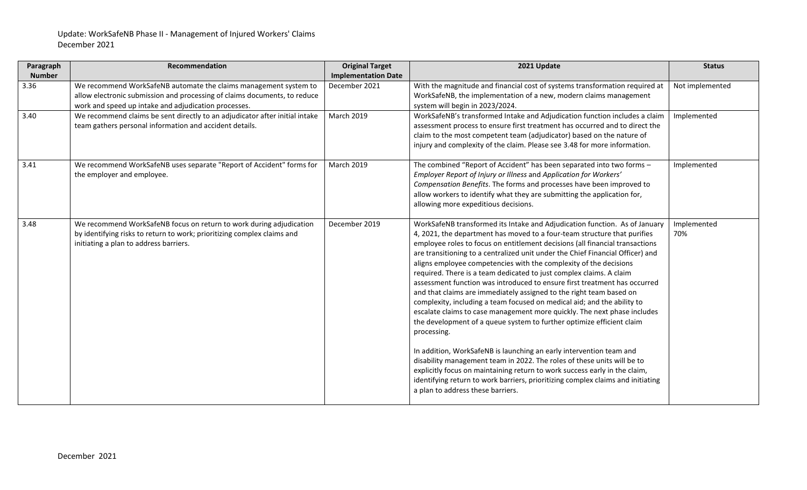| Paragraph     | Recommendation                                                              | <b>Original Target</b>     | 2021 Update                                                                                                                                         | <b>Status</b>   |
|---------------|-----------------------------------------------------------------------------|----------------------------|-----------------------------------------------------------------------------------------------------------------------------------------------------|-----------------|
| <b>Number</b> |                                                                             | <b>Implementation Date</b> |                                                                                                                                                     |                 |
| 3.36          | We recommend WorkSafeNB automate the claims management system to            | December 2021              | With the magnitude and financial cost of systems transformation required at                                                                         | Not implemented |
|               | allow electronic submission and processing of claims documents, to reduce   |                            | WorkSafeNB, the implementation of a new, modern claims management                                                                                   |                 |
|               | work and speed up intake and adjudication processes.                        |                            | system will begin in 2023/2024.                                                                                                                     |                 |
| 3.40          | We recommend claims be sent directly to an adjudicator after initial intake | <b>March 2019</b>          | WorkSafeNB's transformed Intake and Adjudication function includes a claim                                                                          | Implemented     |
|               | team gathers personal information and accident details.                     |                            | assessment process to ensure first treatment has occurred and to direct the                                                                         |                 |
|               |                                                                             |                            | claim to the most competent team (adjudicator) based on the nature of                                                                               |                 |
|               |                                                                             |                            | injury and complexity of the claim. Please see 3.48 for more information.                                                                           |                 |
| 3.41          | We recommend WorkSafeNB uses separate "Report of Accident" forms for        | <b>March 2019</b>          | The combined "Report of Accident" has been separated into two forms -                                                                               | Implemented     |
|               | the employer and employee.                                                  |                            | Employer Report of Injury or Illness and Application for Workers'                                                                                   |                 |
|               |                                                                             |                            | Compensation Benefits. The forms and processes have been improved to                                                                                |                 |
|               |                                                                             |                            | allow workers to identify what they are submitting the application for,                                                                             |                 |
|               |                                                                             |                            | allowing more expeditious decisions.                                                                                                                |                 |
| 3.48          | We recommend WorkSafeNB focus on return to work during adjudication         | December 2019              | WorkSafeNB transformed its Intake and Adjudication function. As of January                                                                          | Implemented     |
|               | by identifying risks to return to work; prioritizing complex claims and     |                            | 4, 2021, the department has moved to a four-team structure that purifies                                                                            | 70%             |
|               | initiating a plan to address barriers.                                      |                            | employee roles to focus on entitlement decisions (all financial transactions                                                                        |                 |
|               |                                                                             |                            | are transitioning to a centralized unit under the Chief Financial Officer) and                                                                      |                 |
|               |                                                                             |                            | aligns employee competencies with the complexity of the decisions                                                                                   |                 |
|               |                                                                             |                            | required. There is a team dedicated to just complex claims. A claim                                                                                 |                 |
|               |                                                                             |                            | assessment function was introduced to ensure first treatment has occurred                                                                           |                 |
|               |                                                                             |                            | and that claims are immediately assigned to the right team based on                                                                                 |                 |
|               |                                                                             |                            | complexity, including a team focused on medical aid; and the ability to<br>escalate claims to case management more quickly. The next phase includes |                 |
|               |                                                                             |                            | the development of a queue system to further optimize efficient claim                                                                               |                 |
|               |                                                                             |                            | processing.                                                                                                                                         |                 |
|               |                                                                             |                            |                                                                                                                                                     |                 |
|               |                                                                             |                            | In addition, WorkSafeNB is launching an early intervention team and                                                                                 |                 |
|               |                                                                             |                            | disability management team in 2022. The roles of these units will be to                                                                             |                 |
|               |                                                                             |                            | explicitly focus on maintaining return to work success early in the claim,                                                                          |                 |
|               |                                                                             |                            | identifying return to work barriers, prioritizing complex claims and initiating                                                                     |                 |
|               |                                                                             |                            | a plan to address these barriers.                                                                                                                   |                 |
|               |                                                                             |                            |                                                                                                                                                     |                 |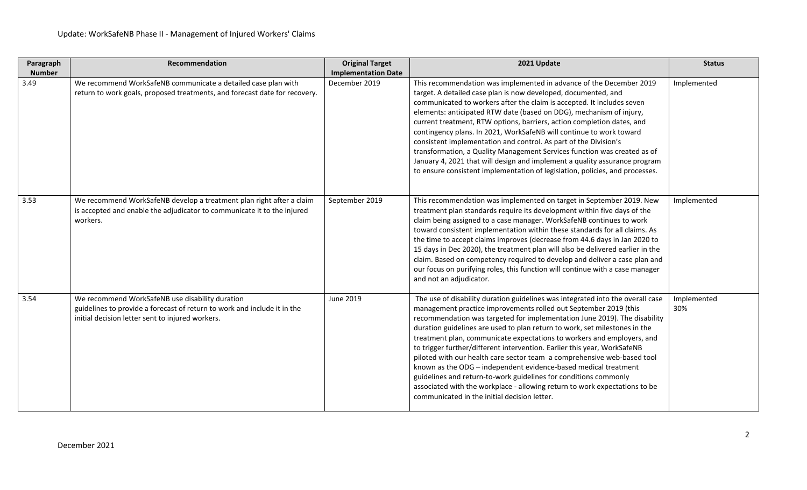| Paragraph     | Recommendation                                                                                                                                                                  | <b>Original Target</b>     | 2021 Update                                                                                                                                                                                                                                                                                                                                                                                                                                                                                                                                                                                                                                                                                                                                                                                                         | <b>Status</b>      |
|---------------|---------------------------------------------------------------------------------------------------------------------------------------------------------------------------------|----------------------------|---------------------------------------------------------------------------------------------------------------------------------------------------------------------------------------------------------------------------------------------------------------------------------------------------------------------------------------------------------------------------------------------------------------------------------------------------------------------------------------------------------------------------------------------------------------------------------------------------------------------------------------------------------------------------------------------------------------------------------------------------------------------------------------------------------------------|--------------------|
| <b>Number</b> |                                                                                                                                                                                 | <b>Implementation Date</b> |                                                                                                                                                                                                                                                                                                                                                                                                                                                                                                                                                                                                                                                                                                                                                                                                                     |                    |
| 3.49          | We recommend WorkSafeNB communicate a detailed case plan with<br>return to work goals, proposed treatments, and forecast date for recovery.                                     | December 2019              | This recommendation was implemented in advance of the December 2019<br>target. A detailed case plan is now developed, documented, and<br>communicated to workers after the claim is accepted. It includes seven<br>elements: anticipated RTW date (based on DDG), mechanism of injury,<br>current treatment, RTW options, barriers, action completion dates, and<br>contingency plans. In 2021, WorkSafeNB will continue to work toward<br>consistent implementation and control. As part of the Division's<br>transformation, a Quality Management Services function was created as of<br>January 4, 2021 that will design and implement a quality assurance program<br>to ensure consistent implementation of legislation, policies, and processes.                                                               | Implemented        |
| 3.53          | We recommend WorkSafeNB develop a treatment plan right after a claim<br>is accepted and enable the adjudicator to communicate it to the injured<br>workers.                     | September 2019             | This recommendation was implemented on target in September 2019. New<br>treatment plan standards require its development within five days of the<br>claim being assigned to a case manager. WorkSafeNB continues to work<br>toward consistent implementation within these standards for all claims. As<br>the time to accept claims improves (decrease from 44.6 days in Jan 2020 to<br>15 days in Dec 2020), the treatment plan will also be delivered earlier in the<br>claim. Based on competency required to develop and deliver a case plan and<br>our focus on purifying roles, this function will continue with a case manager<br>and not an adjudicator.                                                                                                                                                    | Implemented        |
| 3.54          | We recommend WorkSafeNB use disability duration<br>guidelines to provide a forecast of return to work and include it in the<br>initial decision letter sent to injured workers. | June 2019                  | The use of disability duration guidelines was integrated into the overall case<br>management practice improvements rolled out September 2019 (this<br>recommendation was targeted for implementation June 2019). The disability<br>duration guidelines are used to plan return to work, set milestones in the<br>treatment plan, communicate expectations to workers and employers, and<br>to trigger further/different intervention. Earlier this year, WorkSafeNB<br>piloted with our health care sector team a comprehensive web-based tool<br>known as the ODG - independent evidence-based medical treatment<br>guidelines and return-to-work guidelines for conditions commonly<br>associated with the workplace - allowing return to work expectations to be<br>communicated in the initial decision letter. | Implemented<br>30% |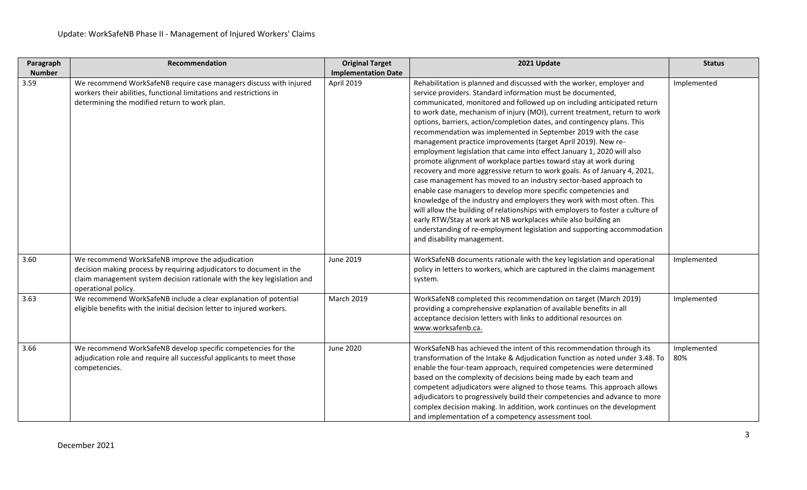| Paragraph     | Recommendation                                                                                                                                                                                                             | <b>Original Target</b>     | 2021 Update                                                                                                                                                                                                                                                                                                                                                                                                                                                                                                                                                                                                                                                                                                                                                                                                                                                                                                                                                                                                                                                                                                                                                                                                            | <b>Status</b>      |
|---------------|----------------------------------------------------------------------------------------------------------------------------------------------------------------------------------------------------------------------------|----------------------------|------------------------------------------------------------------------------------------------------------------------------------------------------------------------------------------------------------------------------------------------------------------------------------------------------------------------------------------------------------------------------------------------------------------------------------------------------------------------------------------------------------------------------------------------------------------------------------------------------------------------------------------------------------------------------------------------------------------------------------------------------------------------------------------------------------------------------------------------------------------------------------------------------------------------------------------------------------------------------------------------------------------------------------------------------------------------------------------------------------------------------------------------------------------------------------------------------------------------|--------------------|
| <b>Number</b> |                                                                                                                                                                                                                            | <b>Implementation Date</b> |                                                                                                                                                                                                                                                                                                                                                                                                                                                                                                                                                                                                                                                                                                                                                                                                                                                                                                                                                                                                                                                                                                                                                                                                                        |                    |
| 3.59          | We recommend WorkSafeNB require case managers discuss with injured<br>workers their abilities, functional limitations and restrictions in<br>determining the modified return to work plan.                                 | April 2019                 | Rehabilitation is planned and discussed with the worker, employer and<br>service providers. Standard information must be documented,<br>communicated, monitored and followed up on including anticipated return<br>to work date, mechanism of injury (MOI), current treatment, return to work<br>options, barriers, action/completion dates, and contingency plans. This<br>recommendation was implemented in September 2019 with the case<br>management practice improvements (target April 2019). New re-<br>employment legislation that came into effect January 1, 2020 will also<br>promote alignment of workplace parties toward stay at work during<br>recovery and more aggressive return to work goals. As of January 4, 2021,<br>case management has moved to an industry sector-based approach to<br>enable case managers to develop more specific competencies and<br>knowledge of the industry and employers they work with most often. This<br>will allow the building of relationships with employers to foster a culture of<br>early RTW/Stay at work at NB workplaces while also building an<br>understanding of re-employment legislation and supporting accommodation<br>and disability management. | Implemented        |
| 3.60          | We recommend WorkSafeNB improve the adjudication<br>decision making process by requiring adjudicators to document in the<br>claim management system decision rationale with the key legislation and<br>operational policy. | June 2019                  | WorkSafeNB documents rationale with the key legislation and operational<br>policy in letters to workers, which are captured in the claims management<br>system.                                                                                                                                                                                                                                                                                                                                                                                                                                                                                                                                                                                                                                                                                                                                                                                                                                                                                                                                                                                                                                                        | Implemented        |
| 3.63          | We recommend WorkSafeNB include a clear explanation of potential<br>eligible benefits with the initial decision letter to injured workers.                                                                                 | <b>March 2019</b>          | WorkSafeNB completed this recommendation on target (March 2019)<br>providing a comprehensive explanation of available benefits in all<br>acceptance decision letters with links to additional resources on<br>www.worksafenb.ca.                                                                                                                                                                                                                                                                                                                                                                                                                                                                                                                                                                                                                                                                                                                                                                                                                                                                                                                                                                                       | Implemented        |
| 3.66          | We recommend WorkSafeNB develop specific competencies for the<br>adjudication role and require all successful applicants to meet those<br>competencies.                                                                    | June 2020                  | WorkSafeNB has achieved the intent of this recommendation through its<br>transformation of the Intake & Adjudication function as noted under 3.48. To<br>enable the four-team approach, required competencies were determined<br>based on the complexity of decisions being made by each team and<br>competent adjudicators were aligned to those teams. This approach allows<br>adjudicators to progressively build their competencies and advance to more<br>complex decision making. In addition, work continues on the development<br>and implementation of a competency assessment tool.                                                                                                                                                                                                                                                                                                                                                                                                                                                                                                                                                                                                                          | Implemented<br>80% |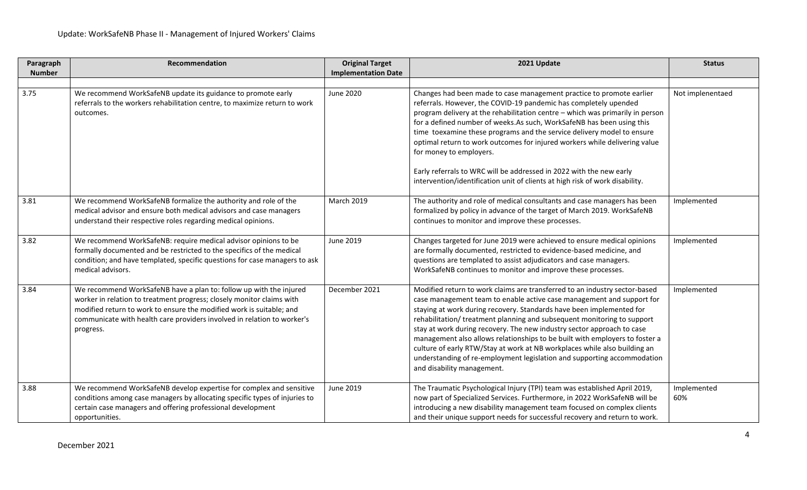| Paragraph     | Recommendation                                                                                                                                                                                                                                                                                              | <b>Original Target</b>     | 2021 Update                                                                                                                                                                                                                                                                                                                                                                                                                                                                                                                                                                                                                                          | <b>Status</b>      |
|---------------|-------------------------------------------------------------------------------------------------------------------------------------------------------------------------------------------------------------------------------------------------------------------------------------------------------------|----------------------------|------------------------------------------------------------------------------------------------------------------------------------------------------------------------------------------------------------------------------------------------------------------------------------------------------------------------------------------------------------------------------------------------------------------------------------------------------------------------------------------------------------------------------------------------------------------------------------------------------------------------------------------------------|--------------------|
| <b>Number</b> |                                                                                                                                                                                                                                                                                                             | <b>Implementation Date</b> |                                                                                                                                                                                                                                                                                                                                                                                                                                                                                                                                                                                                                                                      |                    |
|               |                                                                                                                                                                                                                                                                                                             |                            |                                                                                                                                                                                                                                                                                                                                                                                                                                                                                                                                                                                                                                                      |                    |
| 3.75          | We recommend WorkSafeNB update its guidance to promote early<br>referrals to the workers rehabilitation centre, to maximize return to work<br>outcomes.                                                                                                                                                     | June 2020                  | Changes had been made to case management practice to promote earlier<br>referrals. However, the COVID-19 pandemic has completely upended<br>program delivery at the rehabilitation centre - which was primarily in person<br>for a defined number of weeks.As such, WorkSafeNB has been using this<br>time toexamine these programs and the service delivery model to ensure<br>optimal return to work outcomes for injured workers while delivering value<br>for money to employers.<br>Early referrals to WRC will be addressed in 2022 with the new early<br>intervention/identification unit of clients at high risk of work disability.         | Not implenentaed   |
| 3.81          | We recommend WorkSafeNB formalize the authority and role of the<br>medical advisor and ensure both medical advisors and case managers<br>understand their respective roles regarding medical opinions.                                                                                                      | <b>March 2019</b>          | The authority and role of medical consultants and case managers has been<br>formalized by policy in advance of the target of March 2019. WorkSafeNB<br>continues to monitor and improve these processes.                                                                                                                                                                                                                                                                                                                                                                                                                                             | Implemented        |
| 3.82          | We recommend WorkSafeNB: require medical advisor opinions to be<br>formally documented and be restricted to the specifics of the medical<br>condition; and have templated, specific questions for case managers to ask<br>medical advisors.                                                                 | June 2019                  | Changes targeted for June 2019 were achieved to ensure medical opinions<br>are formally documented, restricted to evidence-based medicine, and<br>questions are templated to assist adjudicators and case managers.<br>WorkSafeNB continues to monitor and improve these processes.                                                                                                                                                                                                                                                                                                                                                                  | Implemented        |
| 3.84          | We recommend WorkSafeNB have a plan to: follow up with the injured<br>worker in relation to treatment progress; closely monitor claims with<br>modified return to work to ensure the modified work is suitable; and<br>communicate with health care providers involved in relation to worker's<br>progress. | December 2021              | Modified return to work claims are transferred to an industry sector-based<br>case management team to enable active case management and support for<br>staying at work during recovery. Standards have been implemented for<br>rehabilitation/treatment planning and subsequent monitoring to support<br>stay at work during recovery. The new industry sector approach to case<br>management also allows relationships to be built with employers to foster a<br>culture of early RTW/Stay at work at NB workplaces while also building an<br>understanding of re-employment legislation and supporting accommodation<br>and disability management. | Implemented        |
| 3.88          | We recommend WorkSafeNB develop expertise for complex and sensitive<br>conditions among case managers by allocating specific types of injuries to<br>certain case managers and offering professional development<br>opportunities.                                                                          | June 2019                  | The Traumatic Psychological Injury (TPI) team was established April 2019,<br>now part of Specialized Services. Furthermore, in 2022 WorkSafeNB will be<br>introducing a new disability management team focused on complex clients<br>and their unique support needs for successful recovery and return to work.                                                                                                                                                                                                                                                                                                                                      | Implemented<br>60% |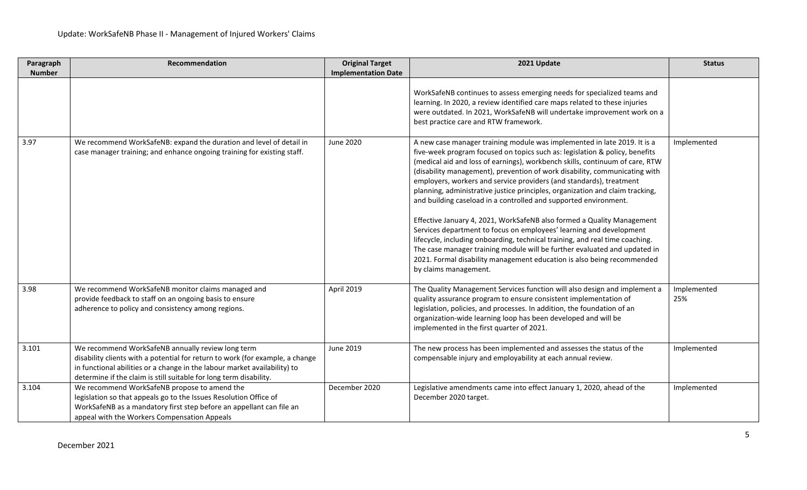| Paragraph     | Recommendation                                                                                                                                                                                                                                                                        | <b>Original Target</b>     | 2021 Update                                                                                                                                                                                                                                                                                                                                                                                                                                                                                                                                                                                                                                                                                                                                                                                                                                                                                                                                                        | <b>Status</b>      |
|---------------|---------------------------------------------------------------------------------------------------------------------------------------------------------------------------------------------------------------------------------------------------------------------------------------|----------------------------|--------------------------------------------------------------------------------------------------------------------------------------------------------------------------------------------------------------------------------------------------------------------------------------------------------------------------------------------------------------------------------------------------------------------------------------------------------------------------------------------------------------------------------------------------------------------------------------------------------------------------------------------------------------------------------------------------------------------------------------------------------------------------------------------------------------------------------------------------------------------------------------------------------------------------------------------------------------------|--------------------|
| <b>Number</b> |                                                                                                                                                                                                                                                                                       | <b>Implementation Date</b> |                                                                                                                                                                                                                                                                                                                                                                                                                                                                                                                                                                                                                                                                                                                                                                                                                                                                                                                                                                    |                    |
|               |                                                                                                                                                                                                                                                                                       |                            | WorkSafeNB continues to assess emerging needs for specialized teams and<br>learning. In 2020, a review identified care maps related to these injuries<br>were outdated. In 2021, WorkSafeNB will undertake improvement work on a<br>best practice care and RTW framework.                                                                                                                                                                                                                                                                                                                                                                                                                                                                                                                                                                                                                                                                                          |                    |
| 3.97          | We recommend WorkSafeNB: expand the duration and level of detail in<br>case manager training; and enhance ongoing training for existing staff.                                                                                                                                        | June 2020                  | A new case manager training module was implemented in late 2019. It is a<br>five-week program focused on topics such as: legislation & policy, benefits<br>(medical aid and loss of earnings), workbench skills, continuum of care, RTW<br>(disability management), prevention of work disability, communicating with<br>employers, workers and service providers (and standards), treatment<br>planning, administrative justice principles, organization and claim tracking,<br>and building caseload in a controlled and supported environment.<br>Effective January 4, 2021, WorkSafeNB also formed a Quality Management<br>Services department to focus on employees' learning and development<br>lifecycle, including onboarding, technical training, and real time coaching.<br>The case manager training module will be further evaluated and updated in<br>2021. Formal disability management education is also being recommended<br>by claims management. | Implemented        |
| 3.98          | We recommend WorkSafeNB monitor claims managed and<br>provide feedback to staff on an ongoing basis to ensure<br>adherence to policy and consistency among regions.                                                                                                                   | April 2019                 | The Quality Management Services function will also design and implement a<br>quality assurance program to ensure consistent implementation of<br>legislation, policies, and processes. In addition, the foundation of an<br>organization-wide learning loop has been developed and will be<br>implemented in the first quarter of 2021.                                                                                                                                                                                                                                                                                                                                                                                                                                                                                                                                                                                                                            | Implemented<br>25% |
| 3.101         | We recommend WorkSafeNB annually review long term<br>disability clients with a potential for return to work (for example, a change<br>in functional abilities or a change in the labour market availability) to<br>determine if the claim is still suitable for long term disability. | June 2019                  | The new process has been implemented and assesses the status of the<br>compensable injury and employability at each annual review.                                                                                                                                                                                                                                                                                                                                                                                                                                                                                                                                                                                                                                                                                                                                                                                                                                 | Implemented        |
| 3.104         | We recommend WorkSafeNB propose to amend the<br>legislation so that appeals go to the Issues Resolution Office of<br>WorkSafeNB as a mandatory first step before an appellant can file an<br>appeal with the Workers Compensation Appeals                                             | December 2020              | Legislative amendments came into effect January 1, 2020, ahead of the<br>December 2020 target.                                                                                                                                                                                                                                                                                                                                                                                                                                                                                                                                                                                                                                                                                                                                                                                                                                                                     | Implemented        |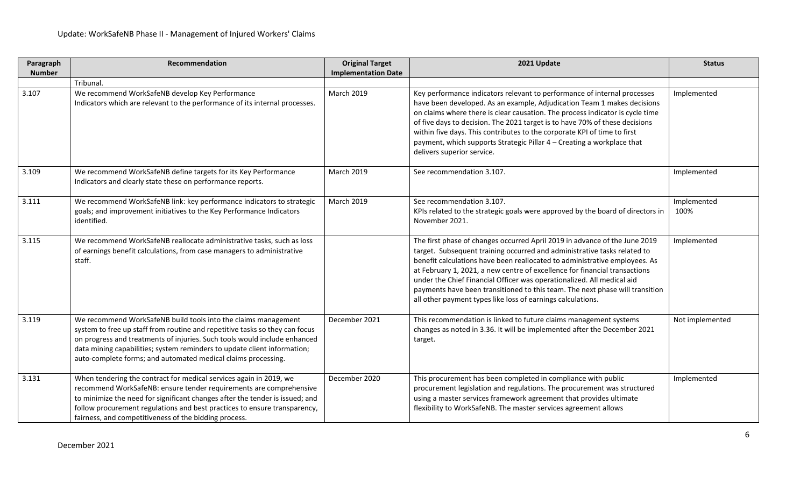| Paragraph     | Recommendation                                                                                                                                                                                                                                                                                                                                                          | <b>Original Target</b>     | 2021 Update                                                                                                                                                                                                                                                                                                                                                                                                                                                                                                                                 | <b>Status</b>       |
|---------------|-------------------------------------------------------------------------------------------------------------------------------------------------------------------------------------------------------------------------------------------------------------------------------------------------------------------------------------------------------------------------|----------------------------|---------------------------------------------------------------------------------------------------------------------------------------------------------------------------------------------------------------------------------------------------------------------------------------------------------------------------------------------------------------------------------------------------------------------------------------------------------------------------------------------------------------------------------------------|---------------------|
| <b>Number</b> |                                                                                                                                                                                                                                                                                                                                                                         | <b>Implementation Date</b> |                                                                                                                                                                                                                                                                                                                                                                                                                                                                                                                                             |                     |
|               | Tribunal.                                                                                                                                                                                                                                                                                                                                                               |                            |                                                                                                                                                                                                                                                                                                                                                                                                                                                                                                                                             |                     |
| 3.107         | We recommend WorkSafeNB develop Key Performance<br>Indicators which are relevant to the performance of its internal processes.                                                                                                                                                                                                                                          | <b>March 2019</b>          | Key performance indicators relevant to performance of internal processes<br>have been developed. As an example, Adjudication Team 1 makes decisions<br>on claims where there is clear causation. The process indicator is cycle time<br>of five days to decision. The 2021 target is to have 70% of these decisions<br>within five days. This contributes to the corporate KPI of time to first<br>payment, which supports Strategic Pillar 4 - Creating a workplace that<br>delivers superior service.                                     | Implemented         |
| 3.109         | We recommend WorkSafeNB define targets for its Key Performance<br>Indicators and clearly state these on performance reports.                                                                                                                                                                                                                                            | <b>March 2019</b>          | See recommendation 3.107.                                                                                                                                                                                                                                                                                                                                                                                                                                                                                                                   | Implemented         |
| 3.111         | We recommend WorkSafeNB link: key performance indicators to strategic<br>goals; and improvement initiatives to the Key Performance Indicators<br>identified.                                                                                                                                                                                                            | <b>March 2019</b>          | See recommendation 3.107.<br>KPIs related to the strategic goals were approved by the board of directors in<br>November 2021.                                                                                                                                                                                                                                                                                                                                                                                                               | Implemented<br>100% |
| 3.115         | We recommend WorkSafeNB reallocate administrative tasks, such as loss<br>of earnings benefit calculations, from case managers to administrative<br>staff.                                                                                                                                                                                                               |                            | The first phase of changes occurred April 2019 in advance of the June 2019<br>target. Subsequent training occurred and administrative tasks related to<br>benefit calculations have been reallocated to administrative employees. As<br>at February 1, 2021, a new centre of excellence for financial transactions<br>under the Chief Financial Officer was operationalized. All medical aid<br>payments have been transitioned to this team. The next phase will transition<br>all other payment types like loss of earnings calculations. | Implemented         |
| 3.119         | We recommend WorkSafeNB build tools into the claims management<br>system to free up staff from routine and repetitive tasks so they can focus<br>on progress and treatments of injuries. Such tools would include enhanced<br>data mining capabilities; system reminders to update client information;<br>auto-complete forms; and automated medical claims processing. | December 2021              | This recommendation is linked to future claims management systems<br>changes as noted in 3.36. It will be implemented after the December 2021<br>target.                                                                                                                                                                                                                                                                                                                                                                                    | Not implemented     |
| 3.131         | When tendering the contract for medical services again in 2019, we<br>recommend WorkSafeNB: ensure tender requirements are comprehensive<br>to minimize the need for significant changes after the tender is issued; and<br>follow procurement regulations and best practices to ensure transparency,<br>fairness, and competitiveness of the bidding process.          | December 2020              | This procurement has been completed in compliance with public<br>procurement legislation and regulations. The procurement was structured<br>using a master services framework agreement that provides ultimate<br>flexibility to WorkSafeNB. The master services agreement allows                                                                                                                                                                                                                                                           | Implemented         |